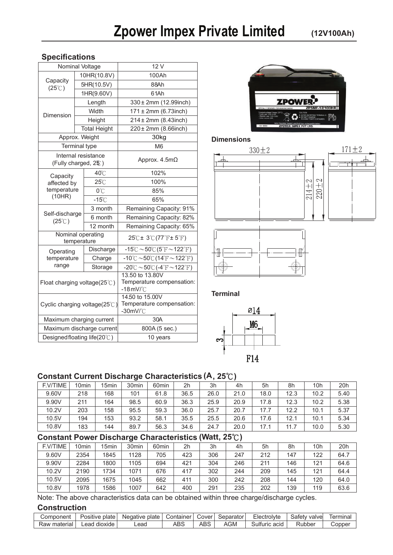| opoomoanono                          |  |                                  |                                                                                  |  |  |  |  |
|--------------------------------------|--|----------------------------------|----------------------------------------------------------------------------------|--|--|--|--|
|                                      |  | Nominal Voltage                  | 12 V                                                                             |  |  |  |  |
|                                      |  | 10HR(10.8V)                      | 100Ah                                                                            |  |  |  |  |
| Capacity<br>$(25^{\circ}$ C)         |  | 5HR(10.5V)                       | 88Ah                                                                             |  |  |  |  |
|                                      |  | 1HR(9.60V)                       | 61Ah                                                                             |  |  |  |  |
|                                      |  | Length                           | 330 ± 2mm (12.99inch)                                                            |  |  |  |  |
| Dimension                            |  | Width                            | $171 \pm 2$ mm (6.73inch)                                                        |  |  |  |  |
|                                      |  | Height                           | $214 \pm 2$ mm (8.43inch)                                                        |  |  |  |  |
|                                      |  | <b>Total Height</b>              | 220 ± 2mm (8.66inch)                                                             |  |  |  |  |
| Approx. Weight                       |  |                                  | 30kg                                                                             |  |  |  |  |
|                                      |  | <b>Terminal type</b>             | M <sub>6</sub>                                                                   |  |  |  |  |
| (Fully charged, 26)                  |  | Internal resistance              | Approx. $4.5m\Omega$                                                             |  |  |  |  |
| Capacity                             |  | 40°C                             | 102%                                                                             |  |  |  |  |
| affected by<br>temperature<br>(10HR) |  | $25^\circ$ C                     | 100%                                                                             |  |  |  |  |
|                                      |  | 0°C                              | 85%                                                                              |  |  |  |  |
|                                      |  | $-15^{\circ}$ C                  | 65%                                                                              |  |  |  |  |
| Self-discharge<br>$(25^{\circ}$ C)   |  | 3 month                          | Remaining Capacity: 91%                                                          |  |  |  |  |
|                                      |  | 6 month                          | Remaining Capacity: 82%                                                          |  |  |  |  |
|                                      |  | 12 month                         | Remaining Capacity: 65%                                                          |  |  |  |  |
|                                      |  | Nominal operating<br>temperature | $25C \pm 3C (77°F \pm 5°F)$                                                      |  |  |  |  |
| Operating<br>temperature             |  | Discharge                        | $-15^{\circ}$ C $\sim$ 50 $^{\circ}$ C (5 $^{\circ}$ F $\sim$ 122 $^{\circ}$ F)  |  |  |  |  |
|                                      |  | Charge                           | $-10^{\circ}$ C $\sim$ 50 $^{\circ}$ C (14 $^{\circ}$ F $\sim$ 122 $^{\circ}$ F) |  |  |  |  |
| range                                |  | Storage                          | $-20^{\circ}$ C $\sim$ 50 $^{\circ}$ C (-4 $^{\circ}$ F $\sim$ 122 $^{\circ}$ F) |  |  |  |  |
| Float charging voltage(25°C)         |  |                                  | 13.50 to 13.80V<br>Temperature compensation:<br>$-18$ mV/ $^{\circ}$ C           |  |  |  |  |
|                                      |  | Cyclic charging voltage(25°C)    | 14.50 to 15.00V<br>Temperature compensation:<br>$-30$ mV/ $^{\circ}$ C           |  |  |  |  |
| Maximum charging current             |  |                                  | 30A                                                                              |  |  |  |  |
|                                      |  | Maximum discharge current        | 800A (5 sec.)                                                                    |  |  |  |  |
| Designed floating life(20°C)         |  |                                  | 10 years                                                                         |  |  |  |  |

### **Specifications**



#### **Dimensions**





#### **Terminal**



# **Constant Current Discharge Characteristics (A, 25**℃**)**

| F.V/TIME | 10min | 15min | 30 <sub>min</sub> | 60 <sub>min</sub> | 2 <sub>h</sub> | 3h   | 4h   | 5h              | 8h   | 10h  | 20h  |
|----------|-------|-------|-------------------|-------------------|----------------|------|------|-----------------|------|------|------|
| 9.60V    | 218   | 168   | 101               | 61.8              | 36.5           | 26.0 | 21.0 | 18.0            | 12.3 | 10.2 | 5.40 |
| 9.90V    | 211   | 164   | 98.5              | 60.9              | 36.3           | 25.9 | 20.9 | 17.8            | 12.3 | 10.2 | 5.38 |
| 10.2V    | 203   | 158   | 95.5              | 59.3              | 36.0           | 25.7 | 20.7 | 17.7            | 12.2 | 10.1 | 5.37 |
| 10.5V    | 194   | 153   | 93.2              | 58.1              | 35.5           | 25.5 | 20.6 | 17.6            | 12.1 | 10.1 | 5.34 |
| 10.8V    | 183   | 144   | 89.7              | 56.3              | 34.6           | 24.7 | 20.0 | 17 <sub>1</sub> | 11   | 10.0 | 5.30 |

### **Constant Power Discharge Characteristics (Watt, 25**℃**)**

| F.V/TIME | 10 <sub>min</sub> | l 5min | 30 <sub>min</sub> | 60 <sub>min</sub> | 2 <sub>h</sub> | 3h  | 4h  | 5h  | 8h  | 10h | 20h  |
|----------|-------------------|--------|-------------------|-------------------|----------------|-----|-----|-----|-----|-----|------|
| 9.60V    | 2354              | 1845   | 1128              | 705               | 423            | 306 | 247 | 212 | 147 | 122 | 64.7 |
| 9.90V    | 2284              | 1800   | 1105              | 694               | 421            | 304 | 246 | 211 | 146 | 121 | 64.6 |
| 10.2V    | 2190              | 1734   | 1071              | 676               | 417            | 302 | 244 | 209 | 145 | 121 | 64.4 |
| 10.5V    | 2095              | 1675   | 1045              | 662               | 411            | 300 | 242 | 208 | 144 | 120 | 64.0 |
| 10.8V    | 1978              | 1586   | 1007              | 642               | 400            | 291 | 235 | 202 | 139 | 119 | 63.6 |

Note: The above characteristics data can be obtained within three charge/discharge cycles.

#### **Construction**

| Componer'      | plate<br>Positive | plate<br>Negative | Container: | شo∨er      | Separator | - -<br>olvte<br>∟lect' | atet∨ذ<br>valvel | -<br>lerminal |
|----------------|-------------------|-------------------|------------|------------|-----------|------------------------|------------------|---------------|
| material<br>אe | Lead<br>dioxide   | Lead              | ADC        | <b>ABS</b> | AGM       | uric<br>acid<br>sulf   | Rubber           | Copper:       |